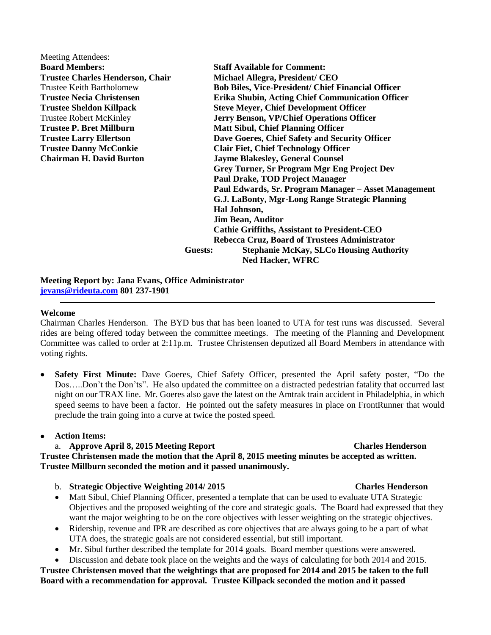| <b>Meeting Attendees:</b>               |                                                           |
|-----------------------------------------|-----------------------------------------------------------|
| <b>Board Members:</b>                   | <b>Staff Available for Comment:</b>                       |
| <b>Trustee Charles Henderson, Chair</b> | Michael Allegra, President/ CEO                           |
| <b>Trustee Keith Bartholomew</b>        | <b>Bob Biles, Vice-President/ Chief Financial Officer</b> |
| <b>Trustee Necia Christensen</b>        | Erika Shubin, Acting Chief Communication Officer          |
| <b>Trustee Sheldon Killpack</b>         | <b>Steve Meyer, Chief Development Officer</b>             |
| <b>Trustee Robert McKinley</b>          | <b>Jerry Benson, VP/Chief Operations Officer</b>          |
| <b>Trustee P. Bret Millburn</b>         | <b>Matt Sibul, Chief Planning Officer</b>                 |
| <b>Trustee Larry Ellertson</b>          | Dave Goeres, Chief Safety and Security Officer            |
| <b>Trustee Danny McConkie</b>           | <b>Clair Fiet, Chief Technology Officer</b>               |
| <b>Chairman H. David Burton</b>         | <b>Jayme Blakesley, General Counsel</b>                   |
|                                         | <b>Grey Turner, Sr Program Mgr Eng Project Dev</b>        |
|                                         | <b>Paul Drake, TOD Project Manager</b>                    |
|                                         | Paul Edwards, Sr. Program Manager - Asset Management      |
|                                         | G.J. LaBonty, Mgr-Long Range Strategic Planning           |
|                                         | Hal Johnson,                                              |
|                                         | <b>Jim Bean, Auditor</b>                                  |
|                                         | <b>Cathie Griffiths, Assistant to President-CEO</b>       |
|                                         | Rebecca Cruz, Board of Trustees Administrator             |
|                                         | <b>Stephanie McKay, SLCo Housing Authority</b><br>Guests: |
|                                         | <b>Ned Hacker, WFRC</b>                                   |
|                                         |                                                           |

**Meeting Report by: Jana Evans, Office Administrator [jevans@rideuta.com](mailto:jevans@rideuta.com) 801 237-1901**

### **Welcome**

Chairman Charles Henderson. The BYD bus that has been loaned to UTA for test runs was discussed. Several rides are being offered today between the committee meetings. The meeting of the Planning and Development Committee was called to order at 2:11p.m. Trustee Christensen deputized all Board Members in attendance with voting rights.

 **Safety First Minute:** Dave Goeres, Chief Safety Officer, presented the April safety poster, "Do the Dos…..Don't the Don'ts". He also updated the committee on a distracted pedestrian fatality that occurred last night on our TRAX line. Mr. Goeres also gave the latest on the Amtrak train accident in Philadelphia, in which speed seems to have been a factor. He pointed out the safety measures in place on FrontRunner that would preclude the train going into a curve at twice the posted speed.

## **Action Items:**

## a. **Approve April 8, 2015 Meeting Report Charles Henderson**

**Trustee Christensen made the motion that the April 8, 2015 meeting minutes be accepted as written. Trustee Millburn seconded the motion and it passed unanimously.**

- b. **Strategic Objective Weighting 2014/ 2015 Charles Henderson**
- Matt Sibul, Chief Planning Officer, presented a template that can be used to evaluate UTA Strategic Objectives and the proposed weighting of the core and strategic goals. The Board had expressed that they want the major weighting to be on the core objectives with lesser weighting on the strategic objectives.
- Ridership, revenue and IPR are described as core objectives that are always going to be a part of what UTA does, the strategic goals are not considered essential, but still important.
- Mr. Sibul further described the template for 2014 goals. Board member questions were answered.
- Discussion and debate took place on the weights and the ways of calculating for both 2014 and 2015.

**Trustee Christensen moved that the weightings that are proposed for 2014 and 2015 be taken to the full Board with a recommendation for approval. Trustee Killpack seconded the motion and it passed**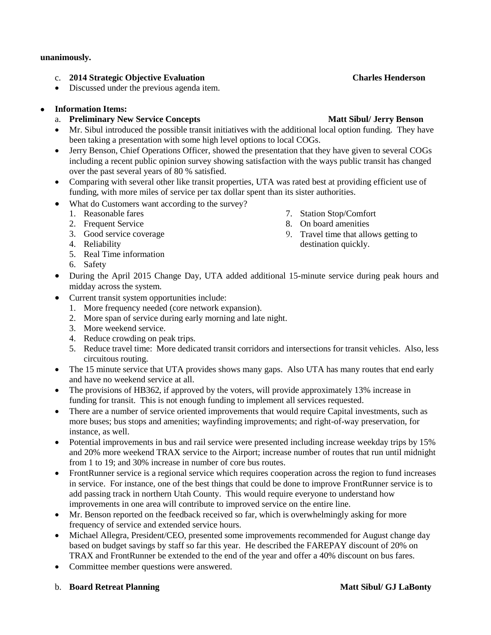### **unanimously.**

- c. **2014 Strategic Objective Evaluation Charles Henderson**
- Discussed under the previous agenda item.

# **Information Items:**

# a. **Preliminary New Service Concepts Matt Sibul/ Jerry Benson**

- Mr. Sibul introduced the possible transit initiatives with the additional local option funding. They have been taking a presentation with some high level options to local COGs.
- Jerry Benson, Chief Operations Officer, showed the presentation that they have given to several COGs including a recent public opinion survey showing satisfaction with the ways public transit has changed over the past several years of 80 % satisfied.
- Comparing with several other like transit properties, UTA was rated best at providing efficient use of funding, with more miles of service per tax dollar spent than its sister authorities.
- What do Customers want according to the survey?
	- 1. Reasonable fares
	- 2. Frequent Service
	- 3. Good service coverage
	- 4. Reliability
	- 5. Real Time information
	- 6. Safety
- During the April 2015 Change Day, UTA added additional 15-minute service during peak hours and midday across the system.
- Current transit system opportunities include:
	- 1. More frequency needed (core network expansion).
	- 2. More span of service during early morning and late night.
	- 3. More weekend service.
	- 4. Reduce crowding on peak trips.
	- 5. Reduce travel time: More dedicated transit corridors and intersections for transit vehicles. Also, less circuitous routing.
- The 15 minute service that UTA provides shows many gaps. Also UTA has many routes that end early and have no weekend service at all.
- The provisions of HB362, if approved by the voters, will provide approximately 13% increase in funding for transit. This is not enough funding to implement all services requested.
- There are a number of service oriented improvements that would require Capital investments, such as more buses; bus stops and amenities; wayfinding improvements; and right-of-way preservation, for instance, as well.
- Potential improvements in bus and rail service were presented including increase weekday trips by 15% and 20% more weekend TRAX service to the Airport; increase number of routes that run until midnight from 1 to 19; and 30% increase in number of core bus routes.
- FrontRunner service is a regional service which requires cooperation across the region to fund increases in service. For instance, one of the best things that could be done to improve FrontRunner service is to add passing track in northern Utah County. This would require everyone to understand how improvements in one area will contribute to improved service on the entire line.
- Mr. Benson reported on the feedback received so far, which is overwhelmingly asking for more frequency of service and extended service hours.
- Michael Allegra, President/CEO, presented some improvements recommended for August change day based on budget savings by staff so far this year. He described the FAREPAY discount of 20% on TRAX and FrontRunner be extended to the end of the year and offer a 40% discount on bus fares.
- Committee member questions were answered.

## b. **Board Retreat Planning State State State State State Matt Sibul/ GJ LaBonty**

- 7. Station Stop/Comfort
- 8. On board amenities
- 9. Travel time that allows getting to destination quickly.
-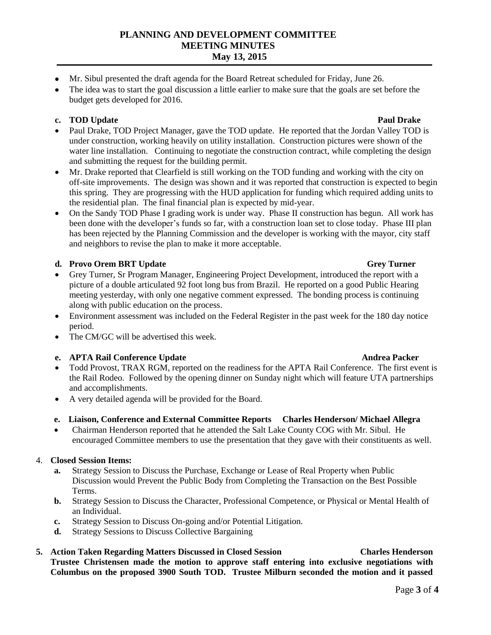# **PLANNING AND DEVELOPMENT COMMITTEE MEETING MINUTES May 13, 2015**

- Mr. Sibul presented the draft agenda for the Board Retreat scheduled for Friday, June 26.
- The idea was to start the goal discussion a little earlier to make sure that the goals are set before the budget gets developed for 2016.

# **c. TOD** Update **Paul Drake** Paul Drake

- Paul Drake, TOD Project Manager, gave the TOD update. He reported that the Jordan Valley TOD is under construction, working heavily on utility installation. Construction pictures were shown of the water line installation. Continuing to negotiate the construction contract, while completing the design and submitting the request for the building permit.
- Mr. Drake reported that Clearfield is still working on the TOD funding and working with the city on off-site improvements. The design was shown and it was reported that construction is expected to begin this spring. They are progressing with the HUD application for funding which required adding units to the residential plan. The final financial plan is expected by mid-year.
- On the Sandy TOD Phase I grading work is under way. Phase II construction has begun. All work has been done with the developer's funds so far, with a construction loan set to close today. Phase III plan has been rejected by the Planning Commission and the developer is working with the mayor, city staff and neighbors to revise the plan to make it more acceptable.

# **d. Provo Orem BRT Update** Grey Turner

- Grey Turner, Sr Program Manager, Engineering Project Development, introduced the report with a picture of a double articulated 92 foot long bus from Brazil. He reported on a good Public Hearing meeting yesterday, with only one negative comment expressed. The bonding process is continuing along with public education on the process.
- Environment assessment was included on the Federal Register in the past week for the 180 day notice period.
- The CM/GC will be advertised this week.

# **e. APTA Rail Conference Update Andrea Packer Andrea Packer**

- Todd Provost, TRAX RGM, reported on the readiness for the APTA Rail Conference. The first event is the Rail Rodeo. Followed by the opening dinner on Sunday night which will feature UTA partnerships and accomplishments.
- A very detailed agenda will be provided for the Board.

## **e. Liaison, Conference and External Committee Reports Charles Henderson/ Michael Allegra**

 Chairman Henderson reported that he attended the Salt Lake County COG with Mr. Sibul. He encouraged Committee members to use the presentation that they gave with their constituents as well.

## 4. **Closed Session Items:**

- **a.** Strategy Session to Discuss the Purchase, Exchange or Lease of Real Property when Public Discussion would Prevent the Public Body from Completing the Transaction on the Best Possible Terms.
- **b.** Strategy Session to Discuss the Character, Professional Competence, or Physical or Mental Health of an Individual.
- **c.** Strategy Session to Discuss On-going and/or Potential Litigation.
- **d.** Strategy Sessions to Discuss Collective Bargaining
- **5. Action Taken Regarding Matters Discussed in Closed Session Charles Henderson Trustee Christensen made the motion to approve staff entering into exclusive negotiations with Columbus on the proposed 3900 South TOD. Trustee Milburn seconded the motion and it passed**